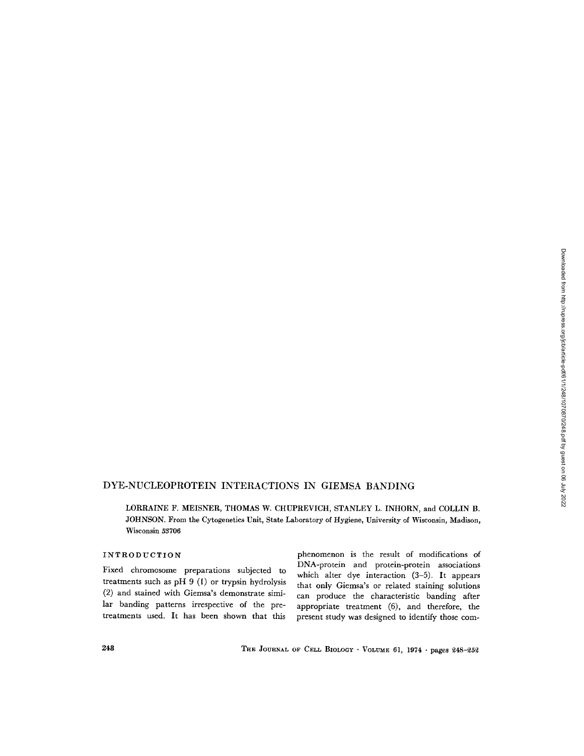# DYE-NUCLEOPROTEIN INTERACTIONS IN GIEMSA BANDING

LORRAINE F. MEISNER, THOMAS W. CHUPREVICH, STANLEY L. INHORN, and COLLIN B. JOHNSON. From the Cytogenetics Unit, State Laboratory of Hygiene, University of Wisconsin, Madison, Wisconsin 53706

# INTRODUCTION

Fixed chromosome preparations subjected to treatments such as pH 9 (I) or trypsin hydrolysis (2) and stained with Giemsa's demonstrate similar banding patterns irrespective of the pretreatments used. It has been shown that this

phenomenon is the result of modifications of DNA-protein and protein-protein associations which alter dye interaction (3-5). It appears that only Giemsa's or related staining solutions can produce the characteristic banding after appropriate treatment (6), and therefore, the present study was designed to identify those com-

248 THE JOURNAL OF CELL BIOLOGY · VOLUME 61, 1974 · pages 248-252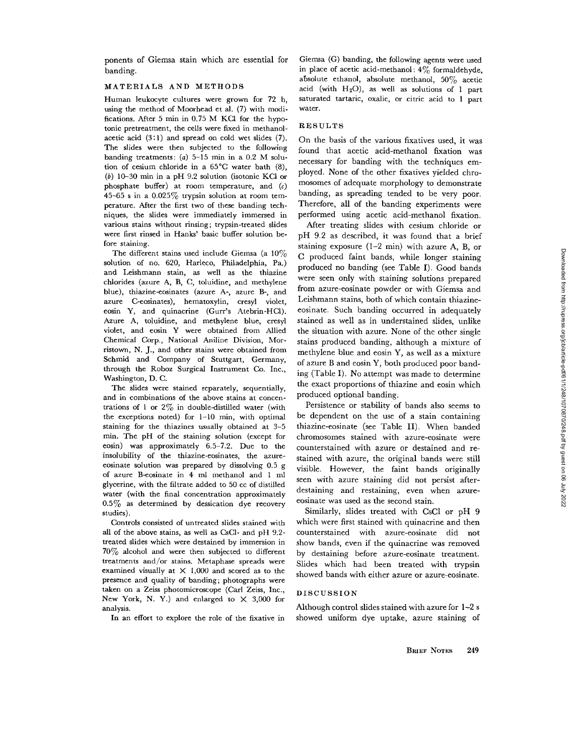ponents of Giemsa stain which are essential for banding.

### MATERIALS AND METHODS

Human leukocyte cultures were grown for 72 h, using the method of Moorhead et al. (7) with modifications. After 5  $min$  in 0.75 M KCl for the hypotonic pretreatment, the cells were fixed in methanolacetic acid (3:1) and spread on cold wet slides (7). The slides were then subjected to the following banding treatments: (a)  $5-15$  min in a 0.2 M solution of cesium chloride in a 65°C water bath (8), (b) 10-30 min in a pH 9.2 solution (isotonic KCl or phosphate buffer) at room temperature, and  $(c)$ 45-65 s in a 0.025% trypsin solution at room temperature. After the first two of these banding techniques, the slides were immediately immersed in various stains without rinsing; trypsin-treated slides were first rinsed in Hanks' basic buffer solution before staining.

The different stains used include Giemsa (a  $10\%$ solution of no. 620, Harleco, Philadelphia, Pa.) and Leishmann stain, as well as the thiazine chlorides (azure A, B, C, toluidine, and methylene blue), thlazine-eosinates (azure A-, azure B-, and azure C-eosinates), hematoxylin, cresyl violet, eosin Y, and quinacrine (Gurr's Atebrin-HCl). Azure A, toluidine, and methylene blue, cresyl violet, and eosin Y were obtained from Allied Chemical Corp., National Aniline Division, Morristown, N. J., and other stains were obtained from Schmid and Company of Stuttgart, Germany, through the Roboz Surgical Instrument Co. Inc., Washington, D. C.

The slides were stained separately, sequentially, and in combinations of the above stains at concentrations of 1 or  $2\%$  in double-distilled water (with the exceptions noted) for  $1-10$  min, with optimal staining for the thiazines usually obtained at 3-5 min. The pH of the staining solution (except for eosin) was approximately 6.5-7.2. Due to the insolubility of the thiazine-eosinates, the azureeosinate solution was prepared by dissolving 0.5 g of azure B-eosinate in 4 ml methanol and 1 ml glycerine, with the filtrate added to 50 cc of distilled water (with the final concentration approximately  $0.5\%$  as determined by dessication dye recovery studies).

Controls consisted of untreated slides stained with all of the above stains, as well as CsC1- and pH 9.2 treated slides which were destained by immersion in 70% alcohol and were then subjected to different treatments and/or stains. Metaphase spreads were examined visually at X 1,000 and scored as to the presence and quality of banding; photographs were taken on a Zeiss photomicroscope (Carl Zeiss, Inc., New York, N. Y.) and enlarged to  $\times$  3,000 for analysis.

In an effort to explore the role of the fixative in

Giemsa (G) banding, the following agents were used in place of acetic acid-methanol:  $4\%$  formaldehyde, absolute ethanol, absolute methanol, 50% acetic acid (with  $H_2O$ ), as well as solutions of 1 part saturated tartaric, oxalic, or citric acid to 1 part water.

#### RESULTS

On the basis of the various fixatives used, it was found that acetic acid-methanol fixation was necessary for banding with the techniques employed. None of the other fixatives yielded chromosomes of adequate morphology to demonstrate banding, as spreading tended to be very poor. Therefore, all of the banding experiments were performed using acetic acid~methanol fixation.

After treating slides with cesium chloride or pH 9.2 as described, it was found that a brief staining exposure (1-2 min) with azure A, B, or C produced faint bands, while longer staining produced no banding (see Table I). Good bands were seen only with staining solutions prepared from azure-eosinate powder or with Giemsa and Leishmann stains, both of which contain thiazineeosinate. Such banding occurred in adequately stained as well as in understained slides, unlike the situation with azure. None of the other single stains produced banding, although a mixture of methylene blue and eosin Y, as well as a mixture of azure B and eosin Y, both produced poor banding (Table I). No attempt was made to determine the exact proportions of thiazine and eosin which produced optional banding.

Persistence or stability of bands also seems to be dependent on the use of a stain containing thiazine-eosinate (see Table II). When banded chromosomes stained with azure-eosinate were counterstained with azure or destained and restained with azure, the original bands were still visible. However, the faint bands originally seen with azure staining did not persist afterdestaining and restaining, even when azureeosinate was used as the second stain.

Similarly, slides treated with CsC1 or pH 9 which were first stained with quinacrine and then counterstained with azure-eosinate did not show bands, even if the quinacrine was removed by destaining before azure-eosinate treatment. Slides which had been treated with trypsin showed bands with either azure or azure-eosinate.

# DISCUSSION

Although control slides stained with azure for 1-2 s showed uniform dye uptake, azure staining of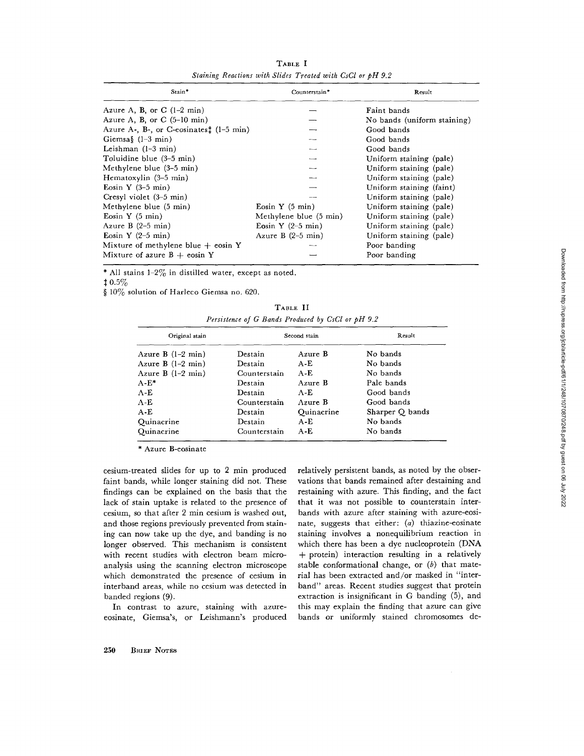| Stain*                                  | Counterstain*               | Result                      |  |
|-----------------------------------------|-----------------------------|-----------------------------|--|
| Azure A, B, or C $(1-2 \text{ min})$    |                             | Faint bands                 |  |
| Azure A, B, or $C$ (5-10 min)           |                             | No bands (uniform staining) |  |
| Azure A-, B-, or C-eosinates: (1-5 min) |                             | Good bands                  |  |
| Giemsa $\frac{1}{2}$ (1-3 min)          |                             | Good bands                  |  |
| Leishman $(1-3$ min)                    |                             | Good bands                  |  |
| Toluidine blue (3-5 min)                |                             | Uniform staining (pale)     |  |
| Methylene blue (3-5 min)                |                             | Uniform staining (pale)     |  |
| Hematoxylin (3–5 min)                   |                             | Uniform staining (pale)     |  |
| Eosin Y $(3-5 \text{ min})$             |                             | Uniform staining (faint)    |  |
| Cresyl violet (3-5 min)                 |                             | Uniform staining (pale)     |  |
| Methylene blue (5 min)                  | Eosin $Y(5 \text{ min})$    | Uniform staining (pale)     |  |
| Eosin Y $(5 \text{ min})$               | Methylene blue (5 min)      | Uniform staining (pale)     |  |
| Azure $B(2-5$ min)                      | Eosin Y $(2-5 \text{ min})$ | Uniform staining (pale)     |  |
| Eosin Y $(2-5 \text{ min})$             | Azure B $(2-5$ min)         | Uniform staining (pale)     |  |
| Mixture of methylene blue $+$ eosin Y   |                             | Poor banding                |  |
| Mixture of azure $B + \cosh Y$          |                             | Poor banding                |  |

**TABLE I**  *Staining Reactions with Slides Treated with CsCl or pH 9.2* 

\* All stains  $1-2\%$  in distilled water, except as noted.

**0.5%** 

§ 10% solution of Harleco Giemsa no. 620.

| TABLE II                                          |  |  |  |  |  |  |
|---------------------------------------------------|--|--|--|--|--|--|
| Persistence of G Bands Produced by CsCl or pH 9.2 |  |  |  |  |  |  |

| Original stain<br>Azure B $(1-2 \text{ min})$ | Second stain |            | Result          |
|-----------------------------------------------|--------------|------------|-----------------|
|                                               | Destain      | Azure B    | No bands        |
| Azure B $(1-2 \text{ min})$                   | Destain      | $A-E$      | No bands        |
| Azure B $(1-2 \text{ min})$                   | Counterstain | $A - E$    | No bands        |
| $A-E^*$                                       | Destain      | Azure B    | Pale bands      |
| $A-E$                                         | Destain      | A-E        | Good bands      |
| $A-E$                                         | Counterstain | Azure B    | Good bands      |
| $A - E$                                       | Destain      | Ouinacrine | Sharper Q bands |
| Ouinacrine                                    | Destain      | $A - E$    | No bands        |
| Quinacrine                                    | Counterstain | $A-E$      | No bands        |

\* Azure B-eosinate

cesium-treated slides for up to 2 min produced faint bands, while longer staining did not. These findings can be explained on the basis that the lack of stain uptake is related to the presence of cesium, so that after 2 min cesium is washed out, and those regions previously prevented from staining can now take up the dye, and banding is no longer observed. This mechanism is consistent with recent studies with electron beam microanalysis using the scanning electron microscope which demonstrated the presence of cesium in interband areas, while no cesium was detected in banded regions (9).

In contrast to azure, staining with azureeosinate, Giemsa's, or Leishmann's produced relatively persistent bands, as noted by the observations that bands remained after destaining and restaining with azure. This finding, and the fact that it was not possible to counterstain interbands with azure after staining with azure-eosinate, suggests that either: (a) thiazine-eosinate staining involves a nonequilibrium reaction in which there has been a dye nucleoprotein (DNA + protein) interaction resulting in a relatively stable conformational change, or  $(b)$  that material has been extracted and/or masked in "interband" areas. Recent studies suggest that protein extraction is insignificant in G banding (5), and this may explain the finding that azure can give bands or uniformly stained chromosomes de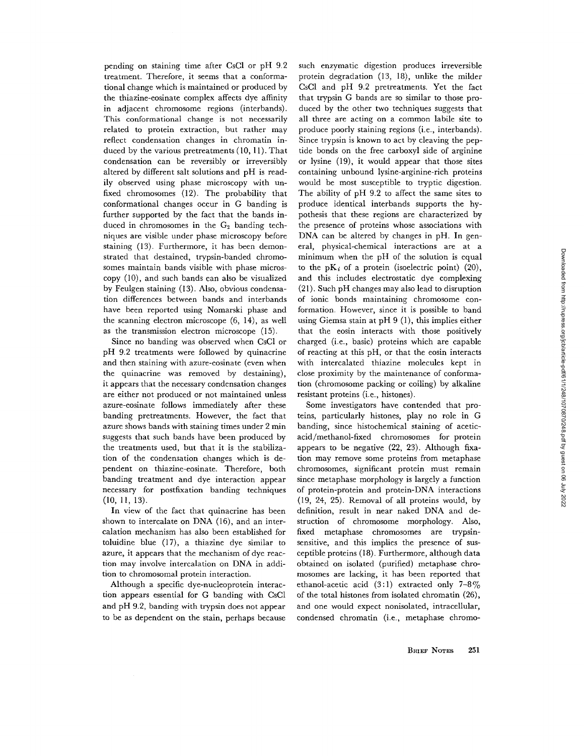pending on staining time after CsC1 or pH 9.2 treatment. Therefore, it seems that a conformational change which is maintained or produced by the thiazine-eosinate complex affects dye affinity in adjacent chromosome regions (interbands). This conformational change is not necessarily related to protein extraction, but rather may reflect condensation changes in chromatin induced by the various pretreatments  $(10, 11)$ . That condensation can be reversibly or irreversibly altered by different salt solutions and pH is readily observed using phase microscopy with unfixed chromosomes (12). The probability that conformational changes occur in G banding is further supported by the fact that the bands induced in chromosomes in the  $G_2$  banding techniques are visible under phase microscopy before staining (13). Furthermore, it has been demonstrated that destained, trypsin-banded chromosomes maintain bands visible with phase microscopy (10), and such bands can also be visualized by Feulgen staining (13). Also, obvious condensation differences between bands and interbands have been reported using Nomarski phase and the scanning electron microscope (6, 14), as well as the transmission electron microscope (15).

Since no banding was observed when CsC1 or pH 9.2 treatments were followed by quinacrine and then staining with azure-eosinate (even when the quinacrine was removed by destaining), it appears that the necessary condensation changes are either not produced or not maintained unless azure-eosinate follows immediately after these banding pretreatments. However, the fact that azure shows bands with staining times under 2 min suggests that such bands have been produced by the treatments used, but that it is the stabilization of the condensation changes which is dependent on thiazine-eosinate. Therefore, both banding treatment and dye interaction appear necessary for postfixation banding techniques (lO, 11, 13).

In view of the fact that quinacrine has been shown to intercalate on DNA (16), and an intercalation mechanism has also been established for toluidine blue (17), a thiazine dye similar to azure, it appears that the mechanism of dye reaction may involve intercalation on DNA in addition to chromosomal protein interaction.

Although a specific dye-nucleoprotein interaction appears essential for G banding with CsC1 and pH 9.2, banding with trypsin does not appear to be as dependent on the stain, perhaps because

such enzymatic digestion produces irreversible protein degradation (13, 18), unlike the milder CsC1 and pH 9.2 pretreatments. Yet the fact that trypsin G bands are so similar to those produced by the other two techniques suggests that all three are acting on a common labile site to produce poorly staining regions (i.e., interbands). Since trypsin is known to act by cleaving the peptide bonds on the free carboxyl side of arginine or lysine (19), it would appear that those sites containing unbound lysine-arginine-rich proteins would be most susceptible to tryptic digestion. The ability of pH 9.2 to affect the same sites to produce identical interbands supports the hypothesis that these regions are characterized by the presence of proteins whose associations with DNA can be altered by changes in pH. In general, physical-chemical interactions are at a minimum when the pH of the solution is equal to the  $pK_i$  of a protein (isoelectric point) (20), and this includes electrostatic dye complexing (21). Such pH changes may also lead to disruption of ionic bonds maintaining chromosome conformation. However, since it is possible to band using Giemsa stain at  $pH 9$  (1), this implies either that the eosin interacts with those positively charged (i.e., basic) proteins which are capable of reacting at this pH, or that the eosin interacts with intercalated thiazine molecules kept in close proximity by the maintenance of conformation (chromosome packing or coiling) by alkaline resistant proteins (i.e., histones).

Some investigators have contended that proteins, particularly histones, play no role in G banding, since histochemical staining of aceticacid/methanol-fixed chromosomes for protein appears to be negative (22, 23). Although fixation may remove some proteins from metaphase chromosomes, significant protein must remain since metaphase morphology is largely a function of protein-protein and protein-DNA interactions (19, 24, 25). Removal of all proteins would, by definition, result in near naked DNA and destruction of chromosome morphology. Also, fixed metaphase chromosomes are trypsinsensitive, and this implies the presence of susceptible proteins (18). Furthermore, although data obtained on isolated (purified) metaphase chromosomes are lacking, it has been reported that ethanol-acetic acid (3:1) extracted only  $7-8\%$ of the total histones from isolated chromatin (26), and one would expect nonisolated, intracellular, condensed chromatin (i.e., metaphase chromo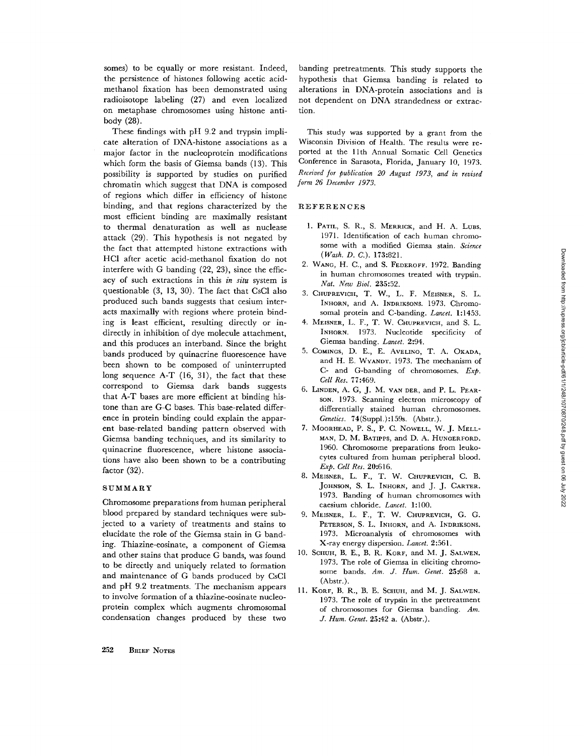somes) to be equally or more resistant. Indeed, the persistence of histones following acetic acidmethanol fixation has been demonstrated using radioisotope labeling (27) and even localized on metaphase chromosomes using histone antibody (28).

These findings with pH 9.2 and trypsin implicate alteration of DNA-histone associations as a major factor in the nucleoprotein modifications which form the basis of Giemsa bands (13). This possibility is supported by studies on purified chromatin which suggest that DNA is composed of regions which differ in efficiency of histone binding, and that regions characterized by the most efficient binding are maximally resistant to thermal denaturation as well as nuclease attack (29). This hypothesis is not negated by the fact that attempted histone extractions with HC1 after acetic acid-methanol fixation do not interfere with G banding (22, 23), since the efficacy of such extractions in this *in situ* system is questionable (3, 13, 30). The fact that CsC1 also produced such bands suggests that cesium interacts maximally with regions where protein binding is least efficient, resulting directly or indirectly in inhibition of dye molecule attachment, and this produces an interband. Since the bright bands produced by quinacrine fluorescence have been shown to be composed of uninterrupted long sequence A-T (16, 31), the fact that these correspond to Giemsa dark bands suggests that A-T bases are more efficient at binding histone than are G-C bases. This base-related difference in protein binding could explain the apparent base-related banding pattern observed with Giemsa banding techniques, and its similarity to quinacrine fluorescence, where histone associations have also been shown to be a contributing factor (32).

### SUMMARY

Chromosome preparations from human peripheral blood prepared by standard techniques were subjected to a variety of treatments and stains to elucidate the role of the Giemsa stain in G banding. Thiazine-eosinate, a component of Giemsa and other stains that produce G bands, was found to be directly and uniquely related to formation and maintenance of G bands produced by CsC1 and pH 9.2 treatments. The mechanism appears to involve formation of a thiazine-eosinate nucleoprotein complex which augments chromosomal condensation changes produced by these two banding pretreatments. This study supports the hypothesis that Giemsa banding is related to alterations in DNA-protein associations and is not dependent on DNA strandedness or extraction.

This study was supported by a grant from the Wisconsin Division of Health. The results were reported at the l lth Annual Somatic Cell Genetics Conference in Sarasota, Florida, January 10, 1973. *Received for publication 20 August 1973, and in revised form 26 December 1973.* 

#### REFERENCES

- 1. PATIL, S. R., S. MERRICK, and H. A. LUBS. 1971. Identification of each human chromosome with a modified Giemsa stain. *Science (Wash. D. C.).* 173:821.
- 2. WANG, H. C., and S. FEDEROFF. 1972. Banding in human chromosomes treated with trypsin. *Nat. New Biol.* 235:52.
- 3. CHUPREVIGH, T. W., L. F. NIEISNER, S. L. INHORN, and A. INDRIKSONS. 1973. Chromosomal protein and C-banding. *Lancet.* 1:1453.
- 4. MEISNER, L. F., T. W. CHUPREVICH, and S. L. INHORN. 1973. Nucleotide specificity of Giemsa banding. *Lancet.* 2:94.
- 5. COMINGS, D. E., E. AVELINO, T. A. OKADA, and H. E. WVANDT. 1973. The mechanism of C- and G-handing of chromosomes. *Exp. Cell Res.* 77:469.
- 6. LINDEN, A. G, J. M. VAN DER, and P. L. PEARson. 1973. Scanning electron microscopy of differentially stained human chromosomes. *Genetics.* 74(Suppl.):159s. (Abstr.).
- 7. MOORHEAD, P. S., P. C. NOWELL, W. J. MELL-MAN, D. M. BATIPPS, and D. A. HUNOERFORD. 1960. Chromosome preparations from leukocytes cultured from human peripheral blood. *Exp. Cell Res.* 20:616.
- 8. MEISNER, L. F., T. W. CHUPREVIGH, C. B. JOHNSON, S. L. INHORN, and J. J. CARTER. 1973. Banding of human chromosomes with caesium chloride. *Lancet.* 1:100.
- 9. MEISNER, L. F., T. W. CHUPREVICH, G. G. PETERSON, S. L. INHORN, and A. INDRIKSONS. 1973. Microanalysis of chromosomes with X-ray energy dispersion. *Lancet.* 2:561.
- 10. SCHUH, B. E., B. R. KORF, and M. J. SALWEN. 1973. The role of Giemsa in eliciting chromosome bands. *Am. J. Hum. Genet.* 25:68 a. (Abstr.).
- 11. KORF, B. R., B. E. SCHUH, and M. J. SALWEN. 1973. The role of trypsin in the pretreatment of chromosomes for Giemsa banding. *Am. J. Hum. Genet.* 25:42 a. (Abstr.).

**252** BRIEF NOTES